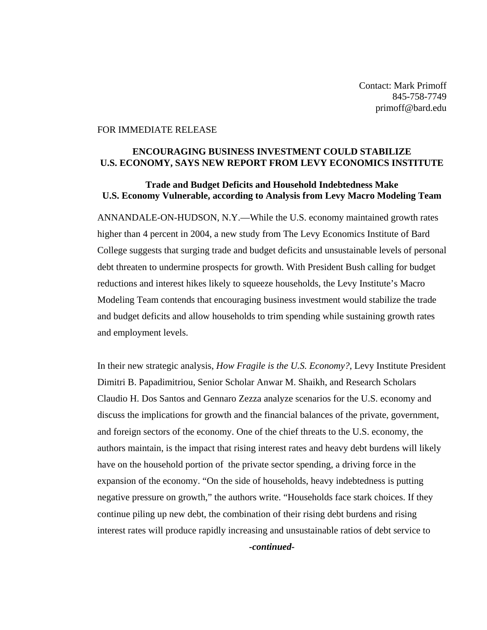Contact: Mark Primoff 845-758-7749 primoff@bard.edu

## FOR IMMEDIATE RELEASE

## **ENCOURAGING BUSINESS INVESTMENT COULD STABILIZE U.S. ECONOMY, SAYS NEW REPORT FROM LEVY ECONOMICS INSTITUTE**

## **Trade and Budget Deficits and Household Indebtedness Make U.S. Economy Vulnerable, according to Analysis from Levy Macro Modeling Team**

ANNANDALE-ON-HUDSON, N.Y.—While the U.S. economy maintained growth rates higher than 4 percent in 2004, a new study from The Levy Economics Institute of Bard College suggests that surging trade and budget deficits and unsustainable levels of personal debt threaten to undermine prospects for growth. With President Bush calling for budget reductions and interest hikes likely to squeeze households, the Levy Institute's Macro Modeling Team contends that encouraging business investment would stabilize the trade and budget deficits and allow households to trim spending while sustaining growth rates and employment levels.

In their new strategic analysis, *How Fragile is the U.S. Economy?*, Levy Institute President Dimitri B. Papadimitriou, Senior Scholar Anwar M. Shaikh, and Research Scholars Claudio H. Dos Santos and Gennaro Zezza analyze scenarios for the U.S. economy and discuss the implications for growth and the financial balances of the private, government, and foreign sectors of the economy. One of the chief threats to the U.S. economy, the authors maintain, is the impact that rising interest rates and heavy debt burdens will likely have on the household portion of the private sector spending, a driving force in the expansion of the economy. "On the side of households, heavy indebtedness is putting negative pressure on growth," the authors write. "Households face stark choices. If they continue piling up new debt, the combination of their rising debt burdens and rising interest rates will produce rapidly increasing and unsustainable ratios of debt service to

*-continued-*